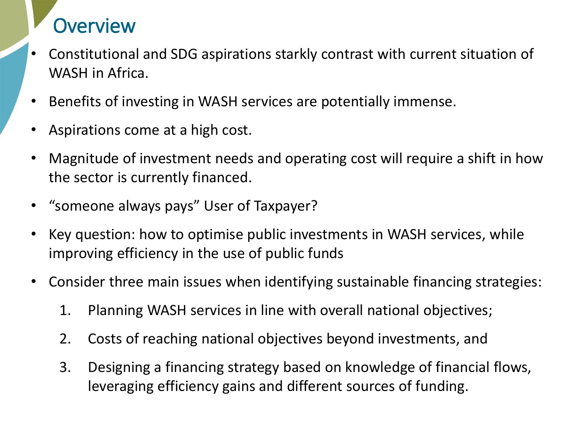## **Overview**

- Constitutional and SDG aspirations starkly contrast with current situation of WASH in Africa.
- Benefits of investing in WASH services are potentially immense.
- Aspirations come at a high cost.
- Magnitude of investment needs and operating cost will require a shift in how the sector is currently financed.
- "someone always pays" User of Taxpayer?
- Key question: how to optimise public investments in WASH services, while improving efficiency in the use of public funds
- Consider three main issues when identifying sustainable financing strategies:
	- 1. Planning WASH services in line with overall national objectives;
	- 2. Costs of reaching national objectives beyond investments, and
	- 3. Designing a financing strategy based on knowledge of financial flows, leveraging efficiency gains and different sources of funding.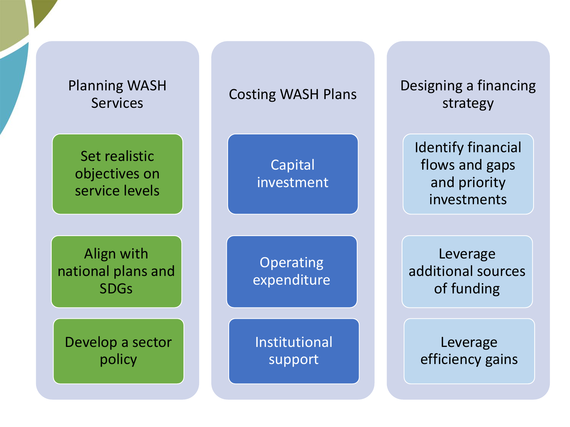